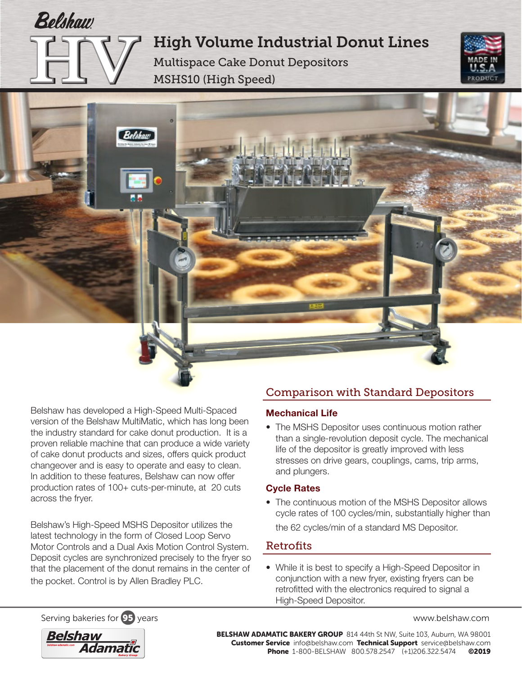High Volume Industrial Donut Lines

Multispace Cake Donut Depositors MSHS10 (High Speed)





Belshaw has developed a High-Speed Multi-Spaced version of the Belshaw MultiMatic, which has long been the industry standard for cake donut production. It is a proven reliable machine that can produce a wide variety of cake donut products and sizes, offers quick product changeover and is easy to operate and easy to clean. In addition to these features, Belshaw can now offer production rates of 100+ cuts-per-minute, at 20 cuts across the fryer.

Belshaw's High-Speed MSHS Depositor utilizes the latest technology in the form of Closed Loop Servo Motor Controls and a Dual Axis Motion Control System. Deposit cycles are synchronized precisely to the fryer so that the placement of the donut remains in the center of the pocket. Control is by Allen Bradley PLC.

## Comparison with Standard Depositors

#### Mechanical Life

• The MSHS Depositor uses continuous motion rather than a single-revolution deposit cycle. The mechanical life of the depositor is greatly improved with less stresses on drive gears, couplings, cams, trip arms, and plungers.

### Cycle Rates

• The continuous motion of the MSHS Depositor allows cycle rates of 100 cycles/min, substantially higher than the 62 cycles/min of a standard MS Depositor.

### **Retrofits**

• While it is best to specify a High-Speed Depositor in conjunction with a new fryer, existing fryers can be retrofitted with the electronics required to signal a High-Speed Depositor.

Serving bakeries for **95** years www.belshaw.com



BELSHAW ADAMATIC BAKERY GROUP 814 44th St NW, Suite 103, Auburn, WA 98001 Customer Service info@belshaw.com Technical Support service@belshaw.com Phone 1-800-BELSHAW 800.578.2547 (+1)206.322.5474 ©2019